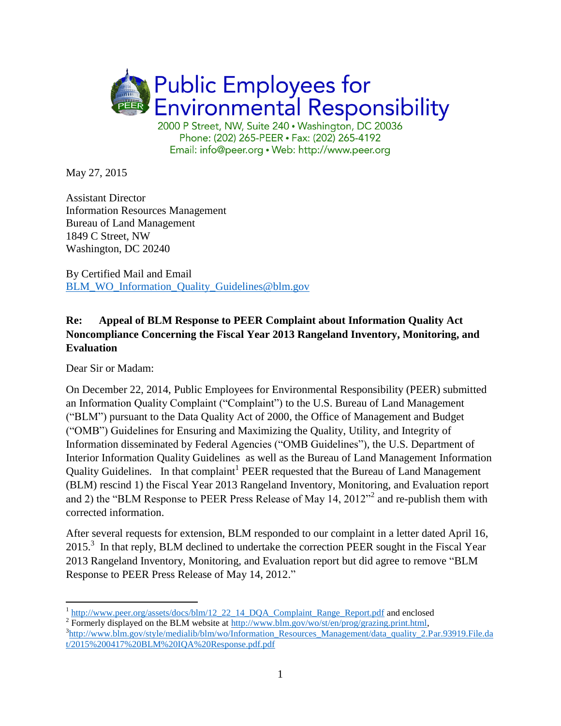

Phone: (202) 265-PEER · Fax: (202) 265-4192 Email: info@peer.org . Web: http://www.peer.org

May 27, 2015

Assistant Director Information Resources Management Bureau of Land Management 1849 C Street, NW Washington, DC 20240

By Certified Mail and Email [BLM\\_WO\\_Information\\_Quality\\_Guidelines@blm.gov](mailto:BLM_WO_Information_Quality_Guidelines@blm.gov)

## **Re: Appeal of BLM Response to PEER Complaint about Information Quality Act Noncompliance Concerning the Fiscal Year 2013 Rangeland Inventory, Monitoring, and Evaluation**

Dear Sir or Madam:

 $\overline{a}$ 

On December 22, 2014, Public Employees for Environmental Responsibility (PEER) submitted an Information Quality Complaint ("Complaint") to the U.S. Bureau of Land Management ("BLM") pursuant to the Data Quality Act of 2000, the Office of Management and Budget ("OMB") Guidelines for Ensuring and Maximizing the Quality, Utility, and Integrity of Information disseminated by Federal Agencies ("OMB Guidelines"), the U.S. Department of Interior Information Quality Guidelines as well as the Bureau of Land Management Information Quality Guidelines. In that complaint<sup>1</sup> PEER requested that the Bureau of Land Management (BLM) rescind 1) the Fiscal Year 2013 Rangeland Inventory, Monitoring, and Evaluation report and 2) the "BLM Response to PEER Press Release of May 14,  $2012$ " and re-publish them with corrected information.

After several requests for extension, BLM responded to our complaint in a letter dated April 16,  $2015<sup>3</sup>$  In that reply, BLM declined to undertake the correction PEER sought in the Fiscal Year 2013 Rangeland Inventory, Monitoring, and Evaluation report but did agree to remove "BLM Response to PEER Press Release of May 14, 2012."

<sup>&</sup>lt;sup>1</sup> [http://www.peer.org/assets/docs/blm/12\\_22\\_14\\_DQA\\_Complaint\\_Range\\_Report.pdf](http://www.peer.org/assets/docs/blm/12_22_14_DQA_Complaint_Range_Report.pdf) and enclosed

<sup>&</sup>lt;sup>2</sup> Formerly displayed on the BLM website at http://www.blm.gov/wo/st/en/prog/grazing.print.html,

<sup>&</sup>lt;sup>3</sup>[http://www.blm.gov/style/medialib/blm/wo/Information\\_Resources\\_Management/data\\_quality\\_2.Par.93919.File.da](http://www.blm.gov/style/medialib/blm/wo/Information_Resources_Management/data_quality_2.Par.93919.File.dat/2015%200417%20BLM%20IQA%20Response.pdf.pdf) [t/2015%200417%20BLM%20IQA%20Response.pdf.pdf](http://www.blm.gov/style/medialib/blm/wo/Information_Resources_Management/data_quality_2.Par.93919.File.dat/2015%200417%20BLM%20IQA%20Response.pdf.pdf)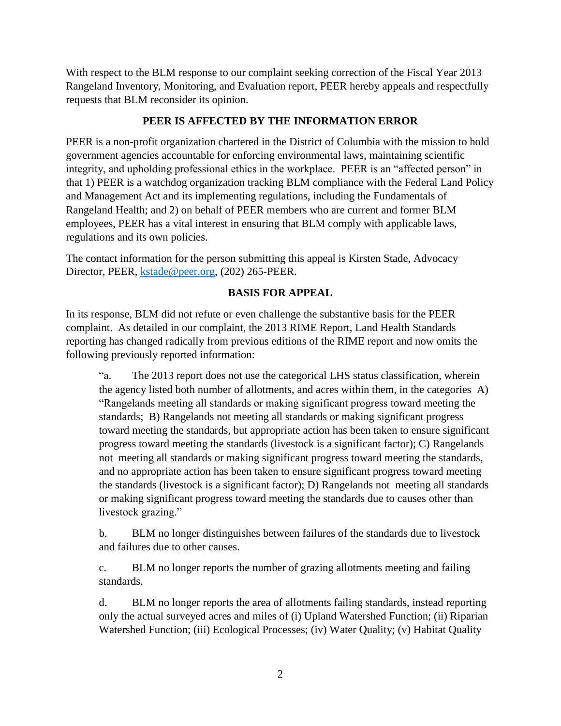With respect to the BLM response to our complaint seeking correction of the Fiscal Year 2013 Rangeland Inventory, Monitoring, and Evaluation report, PEER hereby appeals and respectfully requests that BLM reconsider its opinion.

## **PEER IS AFFECTED BY THE INFORMATION ERROR**

PEER is a non-profit organization chartered in the District of Columbia with the mission to hold government agencies accountable for enforcing environmental laws, maintaining scientific integrity, and upholding professional ethics in the workplace. PEER is an "affected person" in that 1) PEER is a watchdog organization tracking BLM compliance with the Federal Land Policy and Management Act and its implementing regulations, including the Fundamentals of Rangeland Health; and 2) on behalf of PEER members who are current and former BLM employees, PEER has a vital interest in ensuring that BLM comply with applicable laws, regulations and its own policies.

The contact information for the person submitting this appeal is Kirsten Stade, Advocacy Director, PEER, [kstade@peer.org,](mailto:kstade@peer.org) (202) 265-PEER.

#### **BASIS FOR APPEAL**

In its response, BLM did not refute or even challenge the substantive basis for the PEER complaint. As detailed in our complaint, the 2013 RIME Report, Land Health Standards reporting has changed radically from previous editions of the RIME report and now omits the following previously reported information:

"a. The 2013 report does not use the categorical LHS status classification, wherein the agency listed both number of allotments, and acres within them, in the categories A) "Rangelands meeting all standards or making significant progress toward meeting the standards; B) Rangelands not meeting all standards or making significant progress toward meeting the standards, but appropriate action has been taken to ensure significant progress toward meeting the standards (livestock is a significant factor); C) Rangelands not meeting all standards or making significant progress toward meeting the standards, and no appropriate action has been taken to ensure significant progress toward meeting the standards (livestock is a significant factor); D) Rangelands not meeting all standards or making significant progress toward meeting the standards due to causes other than livestock grazing."

b. BLM no longer distinguishes between failures of the standards due to livestock and failures due to other causes.

c. BLM no longer reports the number of grazing allotments meeting and failing standards.

d. BLM no longer reports the area of allotments failing standards, instead reporting only the actual surveyed acres and miles of (i) Upland Watershed Function; (ii) Riparian Watershed Function; (iii) Ecological Processes; (iv) Water Quality; (v) Habitat Quality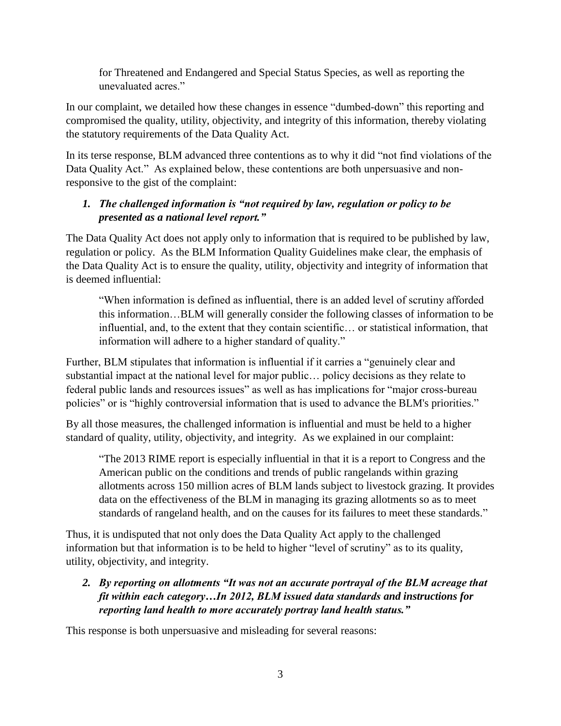for Threatened and Endangered and Special Status Species, as well as reporting the unevaluated acres."

In our complaint, we detailed how these changes in essence "dumbed-down" this reporting and compromised the quality, utility, objectivity, and integrity of this information, thereby violating the statutory requirements of the Data Quality Act.

In its terse response, BLM advanced three contentions as to why it did "not find violations of the Data Quality Act." As explained below, these contentions are both unpersuasive and nonresponsive to the gist of the complaint:

# *1. The challenged information is "not required by law, regulation or policy to be presented as a national level report."*

The Data Quality Act does not apply only to information that is required to be published by law, regulation or policy. As the BLM Information Quality Guidelines make clear, the emphasis of the Data Quality Act is to ensure the quality, utility, objectivity and integrity of information that is deemed influential:

"When information is defined as influential, there is an added level of scrutiny afforded this information…BLM will generally consider the following classes of information to be influential, and, to the extent that they contain scientific… or statistical information, that information will adhere to a higher standard of quality."

Further, BLM stipulates that information is influential if it carries a "genuinely clear and substantial impact at the national level for major public… policy decisions as they relate to federal public lands and resources issues" as well as has implications for "major cross-bureau policies" or is "highly controversial information that is used to advance the BLM's priorities."

By all those measures, the challenged information is influential and must be held to a higher standard of quality, utility, objectivity, and integrity. As we explained in our complaint:

"The 2013 RIME report is especially influential in that it is a report to Congress and the American public on the conditions and trends of public rangelands within grazing allotments across 150 million acres of BLM lands subject to livestock grazing. It provides data on the effectiveness of the BLM in managing its grazing allotments so as to meet standards of rangeland health, and on the causes for its failures to meet these standards."

Thus, it is undisputed that not only does the Data Quality Act apply to the challenged information but that information is to be held to higher "level of scrutiny" as to its quality, utility, objectivity, and integrity.

*2. By reporting on allotments "It was not an accurate portrayal of the BLM acreage that fit within each category…In 2012, BLM issued data standards and instructions for reporting land health to more accurately portray land health status."*

This response is both unpersuasive and misleading for several reasons: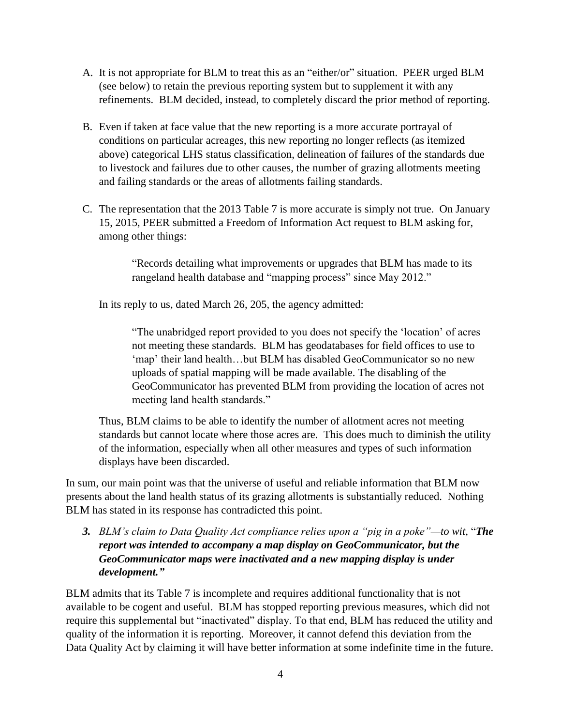- A. It is not appropriate for BLM to treat this as an "either/or" situation. PEER urged BLM (see below) to retain the previous reporting system but to supplement it with any refinements. BLM decided, instead, to completely discard the prior method of reporting.
- B. Even if taken at face value that the new reporting is a more accurate portrayal of conditions on particular acreages, this new reporting no longer reflects (as itemized above) categorical LHS status classification, delineation of failures of the standards due to livestock and failures due to other causes, the number of grazing allotments meeting and failing standards or the areas of allotments failing standards.
- C. The representation that the 2013 Table 7 is more accurate is simply not true. On January 15, 2015, PEER submitted a Freedom of Information Act request to BLM asking for, among other things:

"Records detailing what improvements or upgrades that BLM has made to its rangeland health database and "mapping process" since May 2012."

In its reply to us, dated March 26, 205, the agency admitted:

"The unabridged report provided to you does not specify the 'location' of acres not meeting these standards. BLM has geodatabases for field offices to use to 'map' their land health…but BLM has disabled GeoCommunicator so no new uploads of spatial mapping will be made available. The disabling of the GeoCommunicator has prevented BLM from providing the location of acres not meeting land health standards."

Thus, BLM claims to be able to identify the number of allotment acres not meeting standards but cannot locate where those acres are. This does much to diminish the utility of the information, especially when all other measures and types of such information displays have been discarded.

In sum, our main point was that the universe of useful and reliable information that BLM now presents about the land health status of its grazing allotments is substantially reduced. Nothing BLM has stated in its response has contradicted this point.

*3. BLM's claim to Data Quality Act compliance relies upon a "pig in a poke"—to wit,* "*The report was intended to accompany a map display on GeoCommunicator, but the GeoCommunicator maps were inactivated and a new mapping display is under development."*

BLM admits that its Table 7 is incomplete and requires additional functionality that is not available to be cogent and useful. BLM has stopped reporting previous measures, which did not require this supplemental but "inactivated" display. To that end, BLM has reduced the utility and quality of the information it is reporting. Moreover, it cannot defend this deviation from the Data Quality Act by claiming it will have better information at some indefinite time in the future.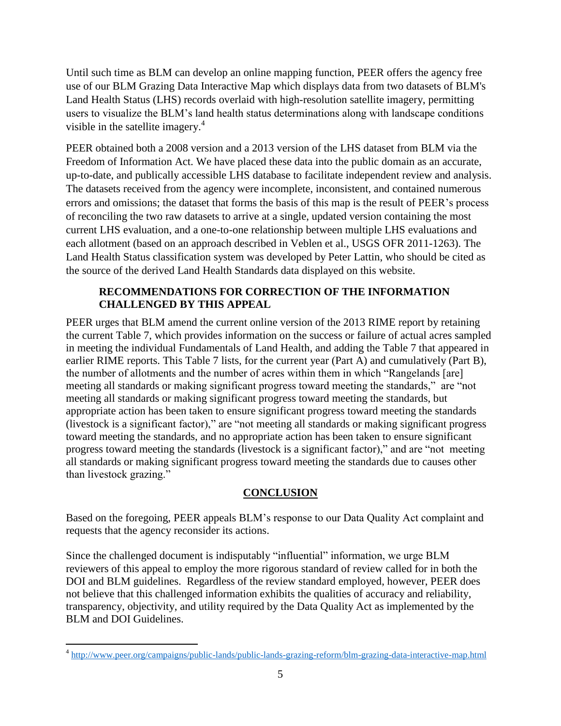Until such time as BLM can develop an online mapping function, PEER offers the agency free use of our BLM Grazing Data Interactive Map which displays data from two datasets of BLM's Land Health Status (LHS) records overlaid with high-resolution satellite imagery, permitting users to visualize the BLM's land health status determinations along with landscape conditions visible in the satellite imagery.<sup>4</sup>

PEER obtained both a 2008 version and a 2013 version of the LHS dataset from BLM via the Freedom of Information Act. We have placed these data into the public domain as an accurate, up-to-date, and publically accessible LHS database to facilitate independent review and analysis. The datasets received from the agency were incomplete, inconsistent, and contained numerous errors and omissions; the dataset that forms the basis of this map is the result of PEER's process of reconciling the two raw datasets to arrive at a single, updated version containing the most current LHS evaluation, and a one-to-one relationship between multiple LHS evaluations and each allotment (based on an approach described in Veblen et al., USGS OFR 2011-1263). The Land Health Status classification system was developed by Peter Lattin, who should be cited as the source of the derived Land Health Standards data displayed on this website.

#### **RECOMMENDATIONS FOR CORRECTION OF THE INFORMATION CHALLENGED BY THIS APPEAL**

PEER urges that BLM amend the current online version of the 2013 RIME report by retaining the current Table 7, which provides information on the success or failure of actual acres sampled in meeting the individual Fundamentals of Land Health, and adding the Table 7 that appeared in earlier RIME reports. This Table 7 lists, for the current year (Part A) and cumulatively (Part B), the number of allotments and the number of acres within them in which "Rangelands [are] meeting all standards or making significant progress toward meeting the standards," are "not meeting all standards or making significant progress toward meeting the standards, but appropriate action has been taken to ensure significant progress toward meeting the standards (livestock is a significant factor)," are "not meeting all standards or making significant progress toward meeting the standards, and no appropriate action has been taken to ensure significant progress toward meeting the standards (livestock is a significant factor)," and are "not meeting all standards or making significant progress toward meeting the standards due to causes other than livestock grazing."

# **CONCLUSION**

Based on the foregoing, PEER appeals BLM's response to our Data Quality Act complaint and requests that the agency reconsider its actions.

Since the challenged document is indisputably "influential" information, we urge BLM reviewers of this appeal to employ the more rigorous standard of review called for in both the DOI and BLM guidelines. Regardless of the review standard employed, however, PEER does not believe that this challenged information exhibits the qualities of accuracy and reliability, transparency, objectivity, and utility required by the Data Quality Act as implemented by the BLM and DOI Guidelines.

 $\overline{a}$ 

<sup>&</sup>lt;sup>4</sup> <http://www.peer.org/campaigns/public-lands/public-lands-grazing-reform/blm-grazing-data-interactive-map.html>